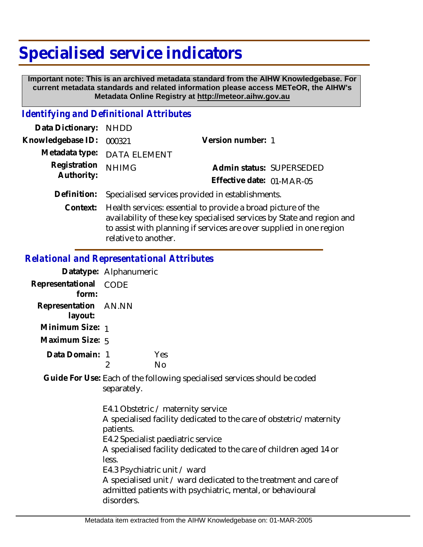# **Specialised service indicators**

 **Important note: This is an archived metadata standard from the AIHW Knowledgebase. For current metadata standards and related information please access METeOR, the AIHW's Metadata Online Registry at http://meteor.aihw.gov.au**

## *Identifying and Definitional Attributes*

| Data Dictionary: NHDD    |                                                                       |                           |                          |
|--------------------------|-----------------------------------------------------------------------|---------------------------|--------------------------|
| Knowledgebase ID: 000321 |                                                                       | Version number: 1         |                          |
|                          | Metadata type: DATA ELEMENT                                           |                           |                          |
| Registration             | <b>NHIMG</b>                                                          |                           | Admin status: SUPERSEDED |
| Authority:               |                                                                       | Effective date: 01-MAR-05 |                          |
|                          | Definition: Specialised services provided in establishments.          |                           |                          |
|                          | Context: Health services: essential to provide a broad picture of the |                           |                          |

Context: Health services: essential to provide a broad picture of the availability of these key specialised services by State and region and to assist with planning if services are over supplied in one region relative to another.

#### *Relational and Representational Attributes*

|                                 | Datatype: Alphanumeric |     |
|---------------------------------|------------------------|-----|
| Representational<br>form:       | CODE                   |     |
| Representation AN.NN<br>layout: |                        |     |
| Minimum Size: 1                 |                        |     |
| Maximum Size: 5                 |                        |     |
| Data Domain:                    |                        | Yes |
|                                 |                        |     |

Guide For Use: Each of the following specialised services should be coded separately.

> E4.1 Obstetric / maternity service A specialised facility dedicated to the care of obstetric/maternity patients. E4.2 Specialist paediatric service A specialised facility dedicated to the care of children aged 14 or less. E4.3 Psychiatric unit / ward A specialised unit / ward dedicated to the treatment and care of admitted patients with psychiatric, mental, or behavioural disorders.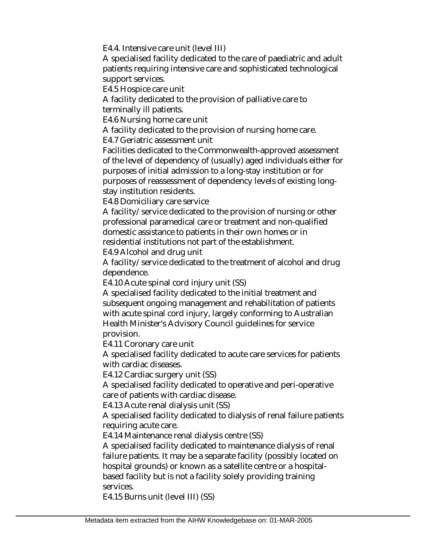E4.4. Intensive care unit (level III)

A specialised facility dedicated to the care of paediatric and adult patients requiring intensive care and sophisticated technological support services.

E4.5 Hospice care unit

A facility dedicated to the provision of palliative care to terminally ill patients.

E4.6 Nursing home care unit

A facility dedicated to the provision of nursing home care.

E4.7 Geriatric assessment unit

Facilities dedicated to the Commonwealth-approved assessment of the level of dependency of (usually) aged individuals either for purposes of initial admission to a long-stay institution or for purposes of reassessment of dependency levels of existing longstay institution residents.

E4.8 Domiciliary care service

A facility/service dedicated to the provision of nursing or other professional paramedical care or treatment and non-qualified domestic assistance to patients in their own homes or in residential institutions not part of the establishment.

E4.9 Alcohol and drug unit

A facility/service dedicated to the treatment of alcohol and drug dependence.

E4.10 Acute spinal cord injury unit (SS)

A specialised facility dedicated to the initial treatment and subsequent ongoing management and rehabilitation of patients with acute spinal cord injury, largely conforming to Australian Health Minister's Advisory Council guidelines for service provision.

E4.11 Coronary care unit

A specialised facility dedicated to acute care services for patients with cardiac diseases.

E4.12 Cardiac surgery unit (SS)

A specialised facility dedicated to operative and peri-operative care of patients with cardiac disease.

E4.13 Acute renal dialysis unit (SS)

A specialised facility dedicated to dialysis of renal failure patients requiring acute care.

E4.14 Maintenance renal dialysis centre (SS)

A specialised facility dedicated to maintenance dialysis of renal failure patients. It may be a separate facility (possibly located on hospital grounds) or known as a satellite centre or a hospitalbased facility but is not a facility solely providing training services.

E4.15 Burns unit (level III) (SS)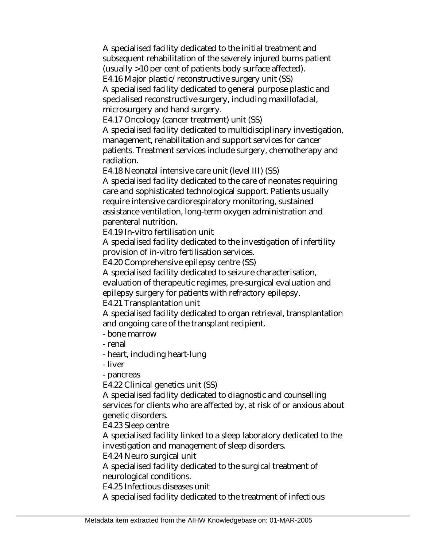A specialised facility dedicated to the initial treatment and subsequent rehabilitation of the severely injured burns patient (usually >10 per cent of patients body surface affected). E4.16 Major plastic/reconstructive surgery unit (SS)

A specialised facility dedicated to general purpose plastic and specialised reconstructive surgery, including maxillofacial, microsurgery and hand surgery.

E4.17 Oncology (cancer treatment) unit (SS)

A specialised facility dedicated to multidisciplinary investigation, management, rehabilitation and support services for cancer patients. Treatment services include surgery, chemotherapy and radiation.

E4.18 Neonatal intensive care unit (level III) (SS)

A specialised facility dedicated to the care of neonates requiring care and sophisticated technological support. Patients usually require intensive cardiorespiratory monitoring, sustained assistance ventilation, long-term oxygen administration and parenteral nutrition.

E4.19 In-vitro fertilisation unit

A specialised facility dedicated to the investigation of infertility provision of in-vitro fertilisation services.

E4.20 Comprehensive epilepsy centre (SS)

A specialised facility dedicated to seizure characterisation,

evaluation of therapeutic regimes, pre-surgical evaluation and epilepsy surgery for patients with refractory epilepsy.

E4.21 Transplantation unit

A specialised facility dedicated to organ retrieval, transplantation and ongoing care of the transplant recipient.

- bone marrow
- renal
- heart, including heart-lung
- liver

- pancreas

E4.22 Clinical genetics unit (SS)

A specialised facility dedicated to diagnostic and counselling services for clients who are affected by, at risk of or anxious about genetic disorders.

E4.23 Sleep centre

A specialised facility linked to a sleep laboratory dedicated to the investigation and management of sleep disorders.

E4.24 Neuro surgical unit

A specialised facility dedicated to the surgical treatment of neurological conditions.

E4.25 Infectious diseases unit

A specialised facility dedicated to the treatment of infectious